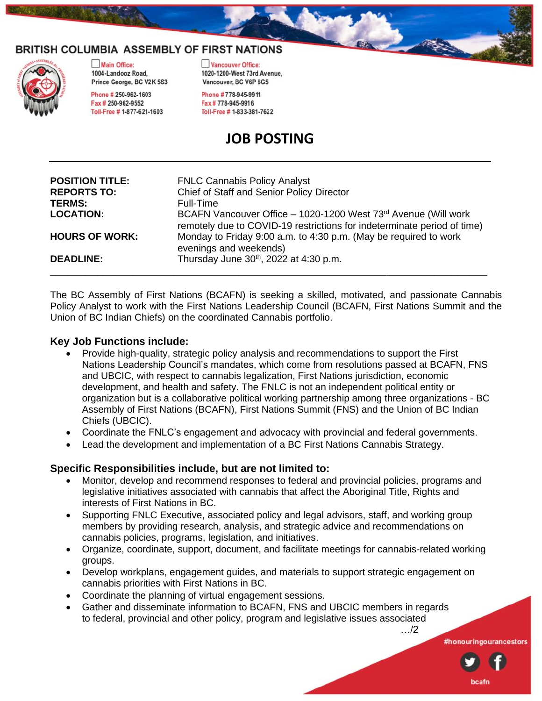



Main Office: 1004-Landooz Road. Prince George, BC V2K 5S3

Phone # 250-962-1603 Fax # 250-962-9552 Toll-Free # 1-877-621-1603 Vancouver Office: 1020-1200-West 73rd Avenue. Vancouver, BC V6P 6G5

Phone #778-945-9911 Fax #778-945-9916 Toll-Free # 1-833-381-7622

# **JOB POSTING**

| <b>POSITION TITLE:</b><br><b>REPORTS TO:</b><br><b>TERMS:</b> | <b>FNLC Cannabis Policy Analyst</b><br>Chief of Staff and Senior Policy Director<br>Full-Time                                             |
|---------------------------------------------------------------|-------------------------------------------------------------------------------------------------------------------------------------------|
| <b>LOCATION:</b>                                              | BCAFN Vancouver Office - 1020-1200 West 73rd Avenue (Will work<br>remotely due to COVID-19 restrictions for indeterminate period of time) |
| <b>HOURS OF WORK:</b>                                         | Monday to Friday 9:00 a.m. to 4:30 p.m. (May be required to work<br>evenings and weekends)                                                |
| <b>DEADLINE:</b>                                              | Thursday June 30 <sup>th</sup> , 2022 at 4:30 p.m.                                                                                        |

The BC Assembly of First Nations (BCAFN) is seeking a skilled, motivated, and passionate Cannabis Policy Analyst to work with the First Nations Leadership Council (BCAFN, First Nations Summit and the Union of BC Indian Chiefs) on the coordinated Cannabis portfolio.

## **Key Job Functions include:**

- Provide high-quality, strategic policy analysis and recommendations to support the First Nations Leadership Council's mandates, which come from resolutions passed at BCAFN, FNS and UBCIC, with respect to cannabis legalization, First Nations jurisdiction, economic development, and health and safety. The FNLC is not an independent political entity or organization but is a collaborative political working partnership among three organizations - BC Assembly of First Nations (BCAFN), First Nations Summit (FNS) and the Union of BC Indian Chiefs (UBCIC).
- Coordinate the FNLC's engagement and advocacy with provincial and federal governments.
- Lead the development and implementation of a BC First Nations Cannabis Strategy.

## **Specific Responsibilities include, but are not limited to:**

- Monitor, develop and recommend responses to federal and provincial policies, programs and legislative initiatives associated with cannabis that affect the Aboriginal Title, Rights and interests of First Nations in BC.
- Supporting FNLC Executive, associated policy and legal advisors, staff, and working group members by providing research, analysis, and strategic advice and recommendations on cannabis policies, programs, legislation, and initiatives.
- Organize, coordinate, support, document, and facilitate meetings for cannabis-related working groups.
- Develop workplans, engagement guides, and materials to support strategic engagement on cannabis priorities with First Nations in BC.
- Coordinate the planning of virtual engagement sessions.
- Gather and disseminate information to BCAFN, FNS and UBCIC members in regards to federal, provincial and other policy, program and legislative issues associated

…/2

#honouringourancestors